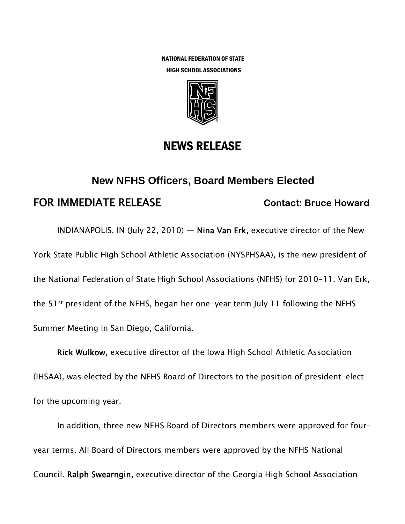NATIONAL FEDERATION OF STATE HIGH SCHOOL ASSOCIATIONS



## NEWS RELEASE

# **New NFHS Officers, Board Members Elected**  FOR IMMEDIATE RELEASE **Contact: Bruce Howard**

INDIANAPOLIS, IN (July 22, 2010) — Nina Van Erk, executive director of the New York State Public High School Athletic Association (NYSPHSAA), is the new president of the National Federation of State High School Associations (NFHS) for 2010-11. Van Erk, the 51st president of the NFHS, began her one-year term July 11 following the NFHS Summer Meeting in San Diego, California.

Rick Wulkow, executive director of the Iowa High School Athletic Association (IHSAA), was elected by the NFHS Board of Directors to the position of president-elect for the upcoming year.

In addition, three new NFHS Board of Directors members were approved for fouryear terms. All Board of Directors members were approved by the NFHS National Council. Ralph Swearngin, executive director of the Georgia High School Association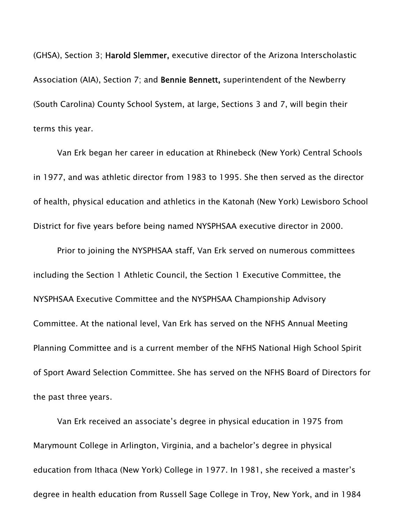(GHSA), Section 3; Harold Slemmer, executive director of the Arizona Interscholastic Association (AIA), Section 7; and Bennie Bennett, superintendent of the Newberry (South Carolina) County School System, at large, Sections 3 and 7, will begin their terms this year.

Van Erk began her career in education at Rhinebeck (New York) Central Schools in 1977, and was athletic director from 1983 to 1995. She then served as the director of health, physical education and athletics in the Katonah (New York) Lewisboro School District for five years before being named NYSPHSAA executive director in 2000.

Prior to joining the NYSPHSAA staff, Van Erk served on numerous committees including the Section 1 Athletic Council, the Section 1 Executive Committee, the NYSPHSAA Executive Committee and the NYSPHSAA Championship Advisory Committee. At the national level, Van Erk has served on the NFHS Annual Meeting Planning Committee and is a current member of the NFHS National High School Spirit of Sport Award Selection Committee. She has served on the NFHS Board of Directors for the past three years.

Van Erk received an associate's degree in physical education in 1975 from Marymount College in Arlington, Virginia, and a bachelor's degree in physical education from Ithaca (New York) College in 1977. In 1981, she received a master's degree in health education from Russell Sage College in Troy, New York, and in 1984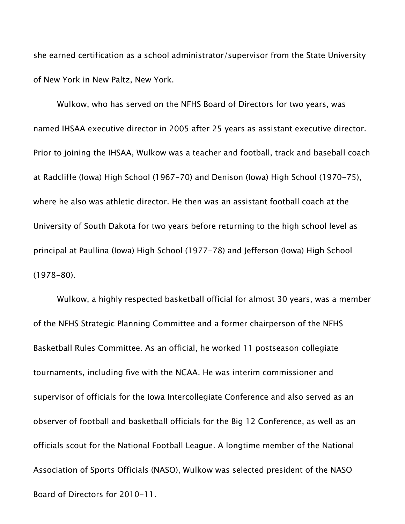she earned certification as a school administrator/supervisor from the State University of New York in New Paltz, New York.

Wulkow, who has served on the NFHS Board of Directors for two years, was named IHSAA executive director in 2005 after 25 years as assistant executive director. Prior to joining the IHSAA, Wulkow was a teacher and football, track and baseball coach at Radcliffe (Iowa) High School (1967-70) and Denison (Iowa) High School (1970-75), where he also was athletic director. He then was an assistant football coach at the University of South Dakota for two years before returning to the high school level as principal at Paullina (Iowa) High School (1977-78) and Jefferson (Iowa) High School (1978-80).

Wulkow, a highly respected basketball official for almost 30 years, was a member of the NFHS Strategic Planning Committee and a former chairperson of the NFHS Basketball Rules Committee. As an official, he worked 11 postseason collegiate tournaments, including five with the NCAA. He was interim commissioner and supervisor of officials for the Iowa Intercollegiate Conference and also served as an observer of football and basketball officials for the Big 12 Conference, as well as an officials scout for the National Football League. A longtime member of the National Association of Sports Officials (NASO), Wulkow was selected president of the NASO Board of Directors for 2010-11.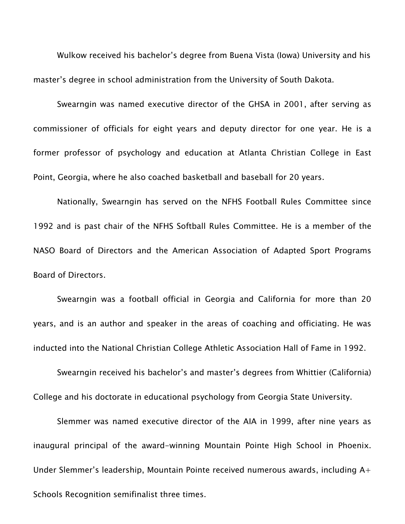Wulkow received his bachelor's degree from Buena Vista (Iowa) University and his master's degree in school administration from the University of South Dakota.

Swearngin was named executive director of the GHSA in 2001, after serving as commissioner of officials for eight years and deputy director for one year. He is a former professor of psychology and education at Atlanta Christian College in East Point, Georgia, where he also coached basketball and baseball for 20 years.

Nationally, Swearngin has served on the NFHS Football Rules Committee since 1992 and is past chair of the NFHS Softball Rules Committee. He is a member of the NASO Board of Directors and the American Association of Adapted Sport Programs Board of Directors.

Swearngin was a football official in Georgia and California for more than 20 years, and is an author and speaker in the areas of coaching and officiating. He was inducted into the National Christian College Athletic Association Hall of Fame in 1992.

Swearngin received his bachelor's and master's degrees from Whittier (California) College and his doctorate in educational psychology from Georgia State University.

Slemmer was named executive director of the AIA in 1999, after nine years as inaugural principal of the award-winning Mountain Pointe High School in Phoenix. Under Slemmer's leadership, Mountain Pointe received numerous awards, including A+ Schools Recognition semifinalist three times.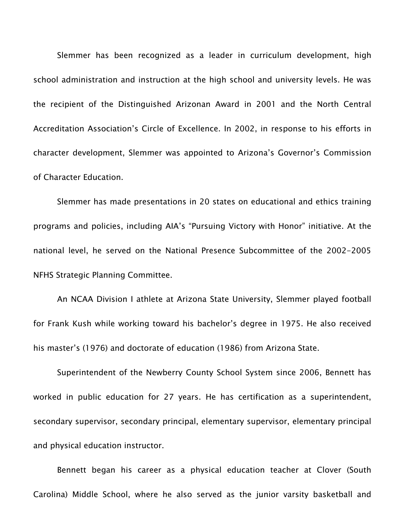Slemmer has been recognized as a leader in curriculum development, high school administration and instruction at the high school and university levels. He was the recipient of the Distinguished Arizonan Award in 2001 and the North Central Accreditation Association's Circle of Excellence. In 2002, in response to his efforts in character development, Slemmer was appointed to Arizona's Governor's Commission of Character Education.

Slemmer has made presentations in 20 states on educational and ethics training programs and policies, including AIA's "Pursuing Victory with Honor" initiative. At the national level, he served on the National Presence Subcommittee of the 2002-2005 NFHS Strategic Planning Committee.

An NCAA Division I athlete at Arizona State University, Slemmer played football for Frank Kush while working toward his bachelor's degree in 1975. He also received his master's (1976) and doctorate of education (1986) from Arizona State.

Superintendent of the Newberry County School System since 2006, Bennett has worked in public education for 27 years. He has certification as a superintendent, secondary supervisor, secondary principal, elementary supervisor, elementary principal and physical education instructor.

Bennett began his career as a physical education teacher at Clover (South Carolina) Middle School, where he also served as the junior varsity basketball and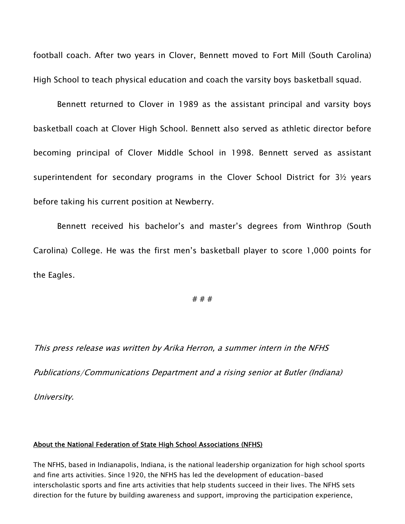football coach. After two years in Clover, Bennett moved to Fort Mill (South Carolina) High School to teach physical education and coach the varsity boys basketball squad.

Bennett returned to Clover in 1989 as the assistant principal and varsity boys basketball coach at Clover High School. Bennett also served as athletic director before becoming principal of Clover Middle School in 1998. Bennett served as assistant superintendent for secondary programs in the Clover School District for 3½ years before taking his current position at Newberry.

Bennett received his bachelor's and master's degrees from Winthrop (South Carolina) College. He was the first men's basketball player to score 1,000 points for the Eagles.

#### # # #

This press release was written by Arika Herron, a summer intern in the NFHS Publications/Communications Department and a rising senior at Butler (Indiana) University.

#### About the National Federation of State High School Associations (NFHS)

The NFHS, based in Indianapolis, Indiana, is the national leadership organization for high school sports and fine arts activities. Since 1920, the NFHS has led the development of education-based interscholastic sports and fine arts activities that help students succeed in their lives. The NFHS sets direction for the future by building awareness and support, improving the participation experience,